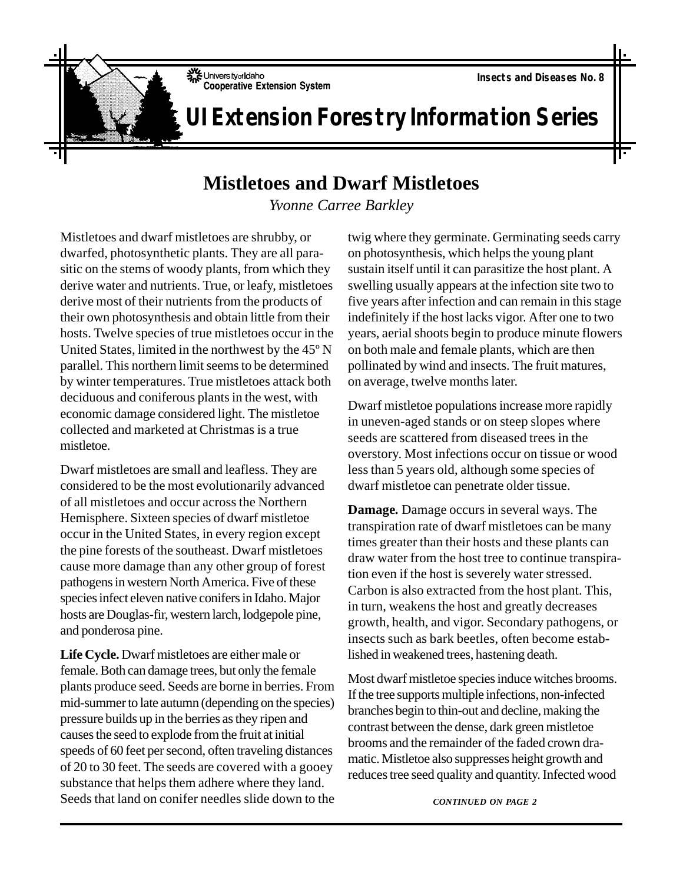## **UI Extension Forestry Information Series**

## **Mistletoes and Dwarf Mistletoes**

*Yvonne Carree Barkley*

Mistletoes and dwarf mistletoes are shrubby, or dwarfed, photosynthetic plants. They are all parasitic on the stems of woody plants, from which they derive water and nutrients. True, or leafy, mistletoes derive most of their nutrients from the products of their own photosynthesis and obtain little from their hosts. Twelve species of true mistletoes occur in the United States, limited in the northwest by the 45º N parallel. This northern limit seems to be determined by winter temperatures. True mistletoes attack both deciduous and coniferous plants in the west, with economic damage considered light. The mistletoe collected and marketed at Christmas is a true mistletoe.

Dwarf mistletoes are small and leafless. They are considered to be the most evolutionarily advanced of all mistletoes and occur across the Northern Hemisphere. Sixteen species of dwarf mistletoe occur in the United States, in every region except the pine forests of the southeast. Dwarf mistletoes cause more damage than any other group of forest pathogens in western North America. Five of these species infect eleven native conifers in Idaho. Major hosts are Douglas-fir, western larch, lodgepole pine, and ponderosa pine.

**Life Cycle.** Dwarf mistletoes are either male or female. Both can damage trees, but only the female plants produce seed. Seeds are borne in berries. From mid-summer to late autumn (depending on the species) pressure builds up in the berries as they ripen and causes the seed to explode from the fruit at initial speeds of 60 feet per second, often traveling distances of 20 to 30 feet. The seeds are covered with a gooey substance that helps them adhere where they land. Seeds that land on conifer needles slide down to the twig where they germinate. Germinating seeds carry on photosynthesis, which helps the young plant sustain itself until it can parasitize the host plant. A swelling usually appears at the infection site two to five years after infection and can remain in this stage indefinitely if the host lacks vigor. After one to two years, aerial shoots begin to produce minute flowers on both male and female plants, which are then pollinated by wind and insects. The fruit matures, on average, twelve months later.

Dwarf mistletoe populations increase more rapidly in uneven-aged stands or on steep slopes where seeds are scattered from diseased trees in the overstory. Most infections occur on tissue or wood less than 5 years old, although some species of dwarf mistletoe can penetrate older tissue.

**Damage***.* Damage occurs in several ways. The transpiration rate of dwarf mistletoes can be many times greater than their hosts and these plants can draw water from the host tree to continue transpiration even if the host is severely water stressed. Carbon is also extracted from the host plant. This, in turn, weakens the host and greatly decreases growth, health, and vigor. Secondary pathogens, or insects such as bark beetles, often become established in weakened trees, hastening death.

Most dwarf mistletoe species induce witches brooms. If the tree supports multiple infections, non-infected branches begin to thin-out and decline, making the contrast between the dense, dark green mistletoe brooms and the remainder of the faded crown dramatic. Mistletoe also suppresses height growth and reduces tree seed quality and quantity. Infected wood

*CONTINUED ON PAGE 2*